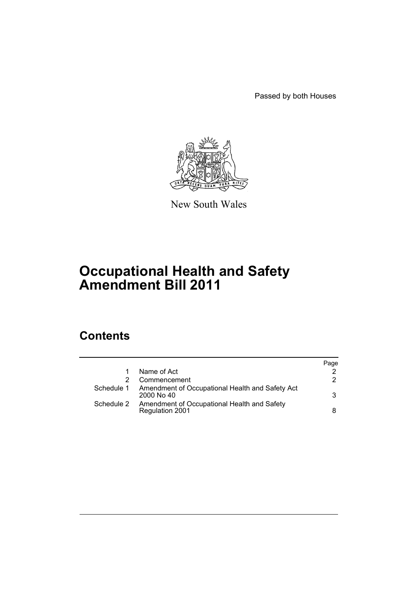Passed by both Houses



New South Wales

# **Occupational Health and Safety Amendment Bill 2011**

# **Contents**

|            |                                                                       | Page |
|------------|-----------------------------------------------------------------------|------|
|            | Name of Act                                                           |      |
|            | Commencement                                                          | 2    |
| Schedule 1 | Amendment of Occupational Health and Safety Act<br>$2000$ No $40$     | 3    |
| Schedule 2 | Amendment of Occupational Health and Safety<br><b>Regulation 2001</b> | 8    |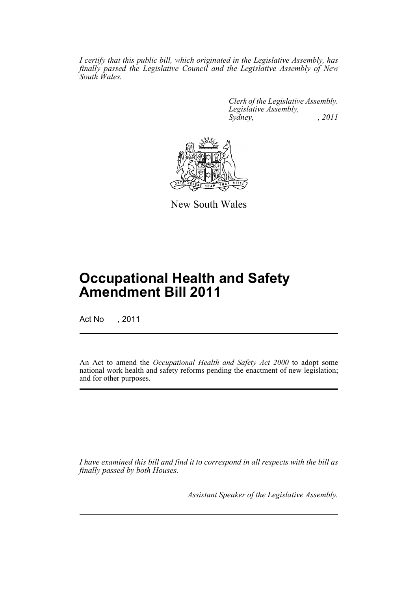*I certify that this public bill, which originated in the Legislative Assembly, has finally passed the Legislative Council and the Legislative Assembly of New South Wales.*

> *Clerk of the Legislative Assembly. Legislative Assembly, Sydney, , 2011*



New South Wales

# **Occupational Health and Safety Amendment Bill 2011**

Act No , 2011

An Act to amend the *Occupational Health and Safety Act 2000* to adopt some national work health and safety reforms pending the enactment of new legislation; and for other purposes.

*I have examined this bill and find it to correspond in all respects with the bill as finally passed by both Houses.*

*Assistant Speaker of the Legislative Assembly.*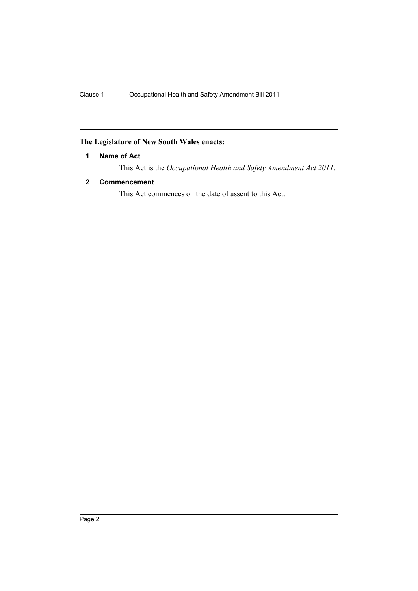## <span id="page-3-0"></span>**The Legislature of New South Wales enacts:**

## **1 Name of Act**

This Act is the *Occupational Health and Safety Amendment Act 2011*.

## <span id="page-3-1"></span>**2 Commencement**

This Act commences on the date of assent to this Act.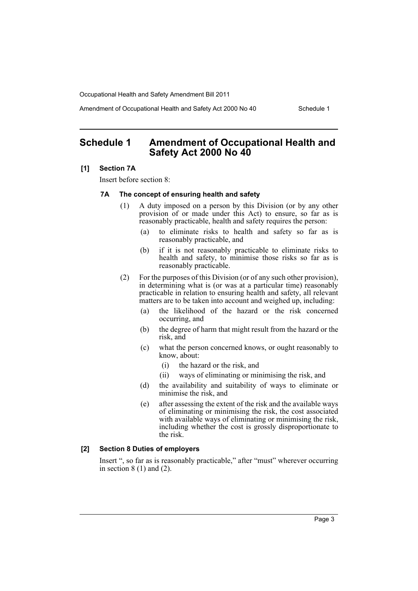Amendment of Occupational Health and Safety Act 2000 No 40 Schedule 1

## <span id="page-4-0"></span>**Schedule 1 Amendment of Occupational Health and Safety Act 2000 No 40**

#### **[1] Section 7A**

Insert before section 8:

### **7A The concept of ensuring health and safety**

- (1) A duty imposed on a person by this Division (or by any other provision of or made under this Act) to ensure, so far as is reasonably practicable, health and safety requires the person:
	- (a) to eliminate risks to health and safety so far as is reasonably practicable, and
	- (b) if it is not reasonably practicable to eliminate risks to health and safety, to minimise those risks so far as is reasonably practicable.
- (2) For the purposes of this Division (or of any such other provision), in determining what is (or was at a particular time) reasonably practicable in relation to ensuring health and safety, all relevant matters are to be taken into account and weighed up, including:
	- (a) the likelihood of the hazard or the risk concerned occurring, and
	- (b) the degree of harm that might result from the hazard or the risk, and
	- (c) what the person concerned knows, or ought reasonably to know, about:
		- (i) the hazard or the risk, and
		- (ii) ways of eliminating or minimising the risk, and
	- (d) the availability and suitability of ways to eliminate or minimise the risk, and
	- (e) after assessing the extent of the risk and the available ways of eliminating or minimising the risk, the cost associated with available ways of eliminating or minimising the risk. including whether the cost is grossly disproportionate to the risk.

### **[2] Section 8 Duties of employers**

Insert ", so far as is reasonably practicable," after "must" wherever occurring in section  $8(1)$  and  $(2)$ .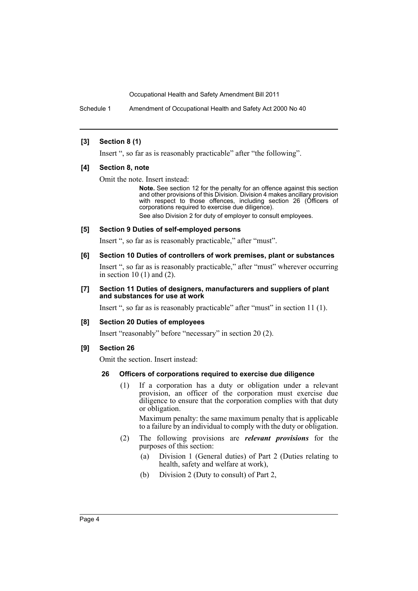Schedule 1 Amendment of Occupational Health and Safety Act 2000 No 40

### **[3] Section 8 (1)**

Insert ", so far as is reasonably practicable" after "the following".

#### **[4] Section 8, note**

Omit the note. Insert instead:

**Note.** See section 12 for the penalty for an offence against this section and other provisions of this Division. Division 4 makes ancillary provision with respect to those offences, including section 26 (Officers of corporations required to exercise due diligence).

See also Division 2 for duty of employer to consult employees.

## **[5] Section 9 Duties of self-employed persons**

Insert ", so far as is reasonably practicable," after "must".

## **[6] Section 10 Duties of controllers of work premises, plant or substances**

Insert ", so far as is reasonably practicable," after "must" wherever occurring in section 10 (1) and (2).

### **[7] Section 11 Duties of designers, manufacturers and suppliers of plant and substances for use at work**

Insert ", so far as is reasonably practicable" after "must" in section 11 (1).

## **[8] Section 20 Duties of employees**

Insert "reasonably" before "necessary" in section 20 (2).

## **[9] Section 26**

Omit the section. Insert instead:

## **26 Officers of corporations required to exercise due diligence**

(1) If a corporation has a duty or obligation under a relevant provision, an officer of the corporation must exercise due diligence to ensure that the corporation complies with that duty or obligation.

Maximum penalty: the same maximum penalty that is applicable to a failure by an individual to comply with the duty or obligation.

- (2) The following provisions are *relevant provisions* for the purposes of this section:
	- (a) Division 1 (General duties) of Part 2 (Duties relating to health, safety and welfare at work),
	- (b) Division 2 (Duty to consult) of Part 2,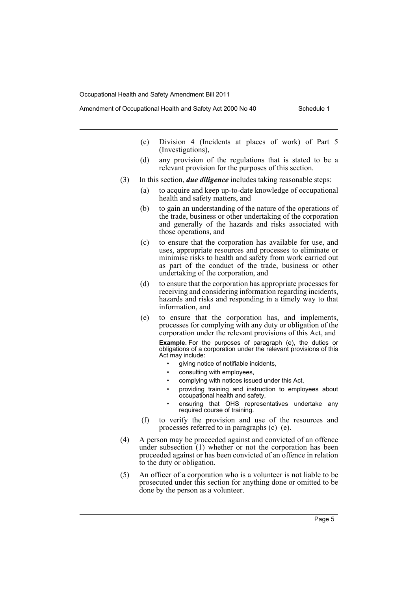- Amendment of Occupational Health and Safety Act 2000 No 40 Schedule 1
	- (c) Division 4 (Incidents at places of work) of Part 5 (Investigations),
	- (d) any provision of the regulations that is stated to be a relevant provision for the purposes of this section.
	- (3) In this section, *due diligence* includes taking reasonable steps:
		- (a) to acquire and keep up-to-date knowledge of occupational health and safety matters, and
		- (b) to gain an understanding of the nature of the operations of the trade, business or other undertaking of the corporation and generally of the hazards and risks associated with those operations, and
		- (c) to ensure that the corporation has available for use, and uses, appropriate resources and processes to eliminate or minimise risks to health and safety from work carried out as part of the conduct of the trade, business or other undertaking of the corporation, and
		- (d) to ensure that the corporation has appropriate processes for receiving and considering information regarding incidents, hazards and risks and responding in a timely way to that information, and
		- (e) to ensure that the corporation has, and implements, processes for complying with any duty or obligation of the corporation under the relevant provisions of this Act, and

**Example.** For the purposes of paragraph (e), the duties or obligations of a corporation under the relevant provisions of this Act may include:

- giving notice of notifiable incidents,
- consulting with employees,
- complying with notices issued under this Act,
- providing training and instruction to employees about occupational health and safety,
- ensuring that OHS representatives undertake any required course of training.
- (f) to verify the provision and use of the resources and processes referred to in paragraphs (c)–(e).
- (4) A person may be proceeded against and convicted of an offence under subsection (1) whether or not the corporation has been proceeded against or has been convicted of an offence in relation to the duty or obligation.
- (5) An officer of a corporation who is a volunteer is not liable to be prosecuted under this section for anything done or omitted to be done by the person as a volunteer.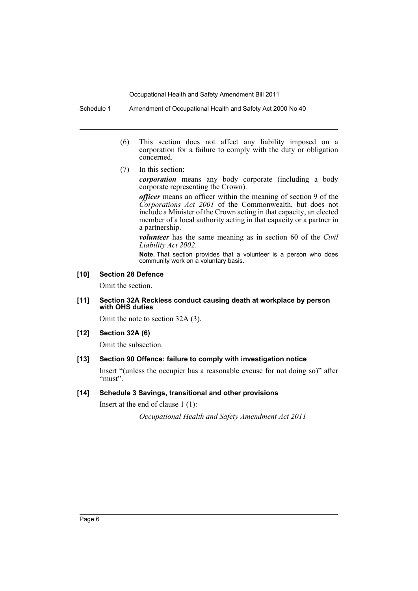Schedule 1 Amendment of Occupational Health and Safety Act 2000 No 40

- (6) This section does not affect any liability imposed on a corporation for a failure to comply with the duty or obligation concerned.
- (7) In this section:

*corporation* means any body corporate (including a body corporate representing the Crown).

*officer* means an officer within the meaning of section 9 of the *Corporations Act 2001* of the Commonwealth, but does not include a Minister of the Crown acting in that capacity, an elected member of a local authority acting in that capacity or a partner in a partnership.

*volunteer* has the same meaning as in section 60 of the *Civil Liability Act 2002*.

**Note.** That section provides that a volunteer is a person who does community work on a voluntary basis.

## **[10] Section 28 Defence**

Omit the section.

#### **[11] Section 32A Reckless conduct causing death at workplace by person with OHS duties**

Omit the note to section 32A (3).

## **[12] Section 32A (6)**

Omit the subsection.

## **[13] Section 90 Offence: failure to comply with investigation notice**

Insert "(unless the occupier has a reasonable excuse for not doing so)" after "must".

## **[14] Schedule 3 Savings, transitional and other provisions**

Insert at the end of clause 1 (1):

*Occupational Health and Safety Amendment Act 2011*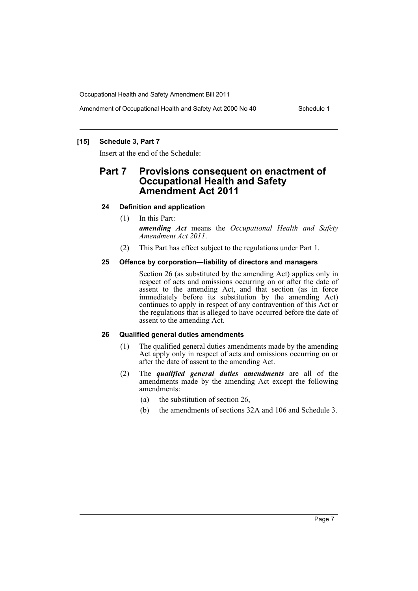### **[15] Schedule 3, Part 7**

Insert at the end of the Schedule:

## **Part 7 Provisions consequent on enactment of Occupational Health and Safety Amendment Act 2011**

#### **24 Definition and application**

(1) In this Part:

*amending Act* means the *Occupational Health and Safety Amendment Act 2011*.

(2) This Part has effect subject to the regulations under Part 1.

#### **25 Offence by corporation—liability of directors and managers**

Section 26 (as substituted by the amending Act) applies only in respect of acts and omissions occurring on or after the date of assent to the amending Act, and that section (as in force immediately before its substitution by the amending Act) continues to apply in respect of any contravention of this Act or the regulations that is alleged to have occurred before the date of assent to the amending Act.

#### **26 Qualified general duties amendments**

- (1) The qualified general duties amendments made by the amending Act apply only in respect of acts and omissions occurring on or after the date of assent to the amending Act.
- (2) The *qualified general duties amendments* are all of the amendments made by the amending Act except the following amendments:
	- (a) the substitution of section 26,
	- (b) the amendments of sections 32A and 106 and Schedule 3.